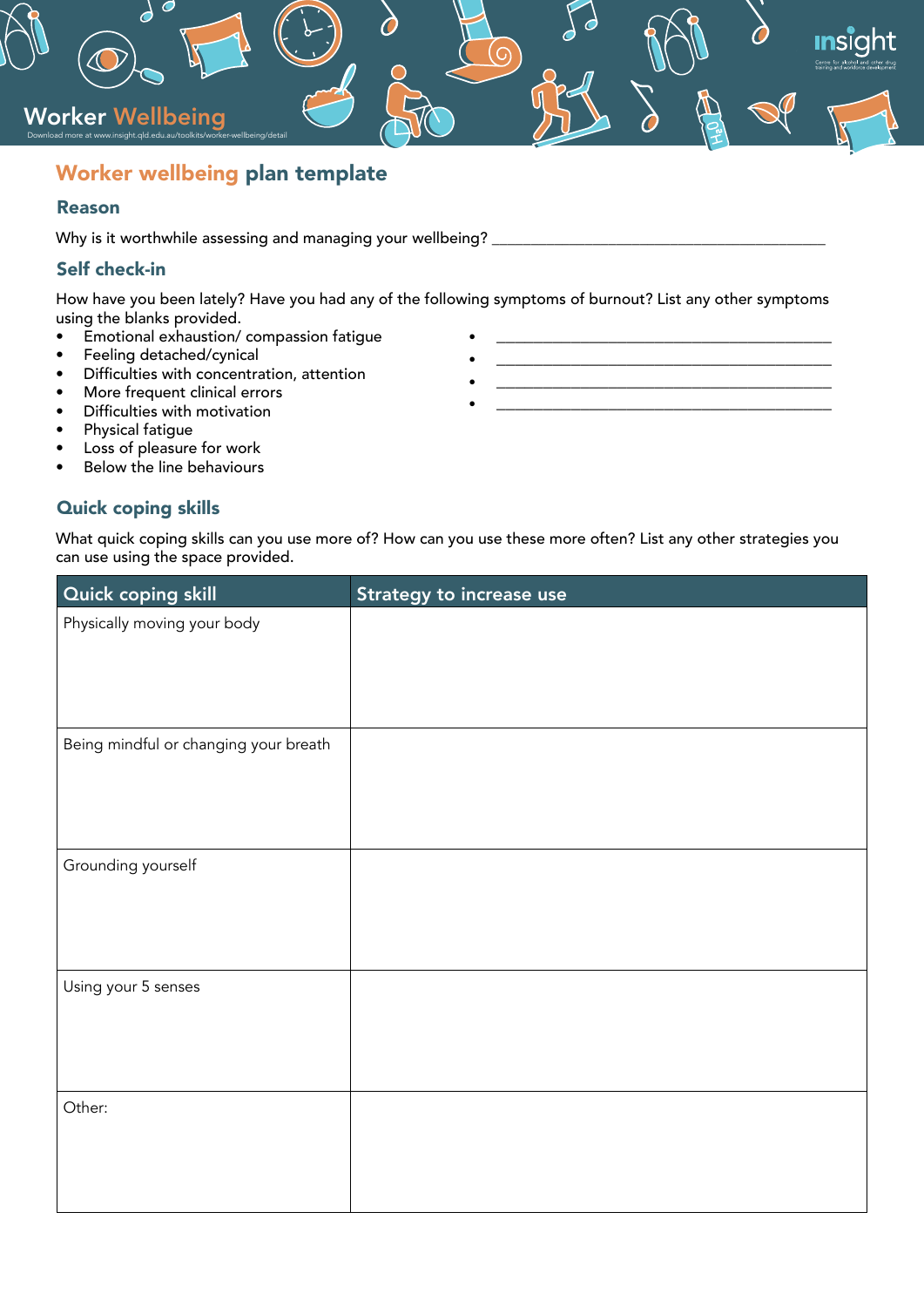# Worker wellbeing plan template

#### Reason

Why is it worthwhile assessing and managing your wellbeing? \_\_\_\_\_\_\_\_\_\_\_\_\_\_\_\_\_\_\_\_

#### Self check-in

Worker Wellbeing

Download more at www.insight.qld.edu.au/toolkits/worker-wellbeing/detail

How have you been lately? Have you had any of the following symptoms of burnout? List any other symptoms using the blanks provided.

 $\Omega$ 

- Emotional exhaustion/ compassion fatigue
- Feeling detached/cynical
- Difficulties with concentration, attention
- More frequent clinical errors
- Difficulties with motivation
- Physical fatigue
- Loss of pleasure for work
- Below the line behaviours

## Quick coping skills

What quick coping skills can you use more of? How can you use these more often? List any other strategies you can use using the space provided.

| Quick coping skill                    | Strategy to increase use |
|---------------------------------------|--------------------------|
| Physically moving your body           |                          |
| Being mindful or changing your breath |                          |
| Grounding yourself                    |                          |
| Using your 5 senses                   |                          |
| Other:                                |                          |

- \_\_\_\_\_\_\_\_\_\_\_\_\_\_\_\_\_\_\_\_\_\_\_\_\_\_\_\_\_\_\_\_\_\_\_\_ • \_\_\_\_\_\_\_\_\_\_\_\_\_\_\_\_\_\_\_\_\_\_\_\_\_\_\_\_\_\_\_\_\_\_\_\_
	- \_\_\_\_\_\_\_\_\_\_\_\_\_\_\_\_\_\_\_\_\_\_\_\_\_\_\_\_\_\_\_\_\_\_\_\_
	-